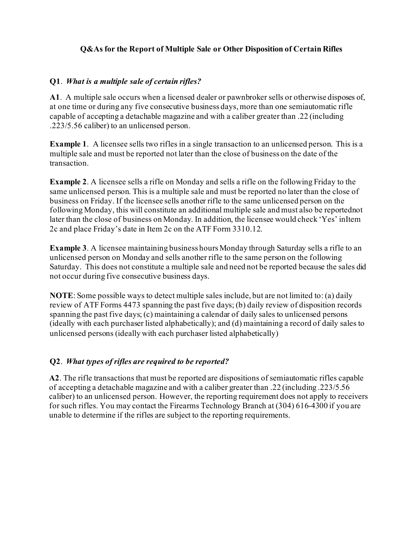## **Q&As for the Report of Multiple Sale or Other Disposition of Certain Rifles**

## **Q1**. *What is a multiple sale of certain rifles?*

**A1**. A multiple sale occurs when a licensed dealer or pawnbroker sells or otherwise disposes of, at one time or during any five consecutive business days, more than one semiautomatic rifle capable of accepting a detachable magazine and with a caliber greater than .22 (including .223/5.56 caliber) to an unlicensed person.

**Example 1**. A licensee sells two rifles in a single transaction to an unlicensed person. This is a multiple sale and must be reported not later than the close of business on the date of the transaction.

**Example 2**. A licensee sells a rifle on Monday and sells a rifle on the following Friday to the same unlicensed person. This is a multiple sale and must be reported no later than the close of business on Friday. If the licensee sells another rifle to the same unlicensed person on the following Monday, this will constitute an additional multiple sale and must also be reportednot later than the close of business on Monday. In addition, the licensee would check 'Yes' inItem 2c and place Friday's date in Item 2c on the ATF Form 3310.12.

**Example 3**. A licensee maintaining business hours Monday through Saturday sells a rifle to an unlicensed person on Monday and sells another rifle to the same person on the following Saturday. This does not constitute a multiple sale and need not be reported because the sales did not occur during five consecutive business days.

**NOTE**: Some possible ways to detect multiple sales include, but are not limited to: (a) daily review of ATF Forms 4473 spanning the past five days; (b) daily review of disposition records spanning the past five days; (c) maintaining a calendar of daily sales to unlicensed persons (ideally with each purchaser listed alphabetically); and (d) maintaining a record of daily sales to unlicensed persons (ideally with each purchaser listed alphabetically)

### **Q2**. *What types of rifles are required to be reported?*

**A2**. The rifle transactions that must be reported are dispositions of semiautomatic rifles capable of accepting a detachable magazine and with a caliber greater than .22 (including .223/5.56 caliber) to an unlicensed person. However, the reporting requirement does not apply to receivers for such rifles. You may contact the Firearms Technology Branch at (304) 616-4300 if you are unable to determine if the rifles are subject to the reporting requirements.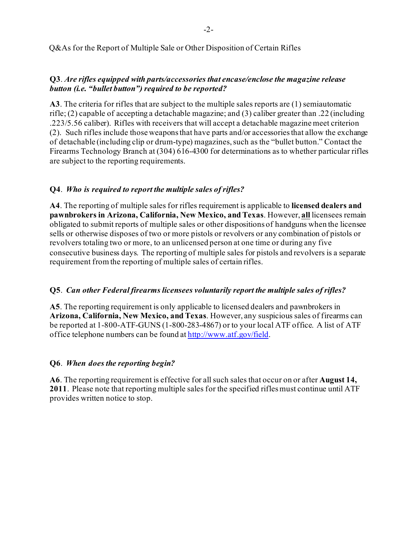Q&As for the Report of Multiple Sale or Other Disposition of Certain Rifles

### **Q3**. *Are rifles equipped with parts/accessories that encase/enclose the magazine release button (i.e. "bullet button") required to be reported?*

**A3**. The criteria for rifles that are subject to the multiple sales reports are (1) semiautomatic rifle; (2) capable of accepting a detachable magazine; and (3) caliber greater than .22 (including .223/5.56 caliber). Rifles with receivers that will accept a detachable magazine meet criterion (2). Such rifles include those weaponsthat have parts and/or accessoriesthat allow the exchange of detachable (including clip or drum-type) magazines, such as the "bullet button." Contact the Firearms Technology Branch at (304) 616-4300 for determinations as to whether particular rifles are subject to the reporting requirements.

### **Q4**. *Who is required to report the multiple sales of rifles?*

**A4**. The reporting of multiple sales for rifles requirement is applicable to **licensed dealers and pawnbrokers in Arizona, California, New Mexico, and Texas**. However, **all** licensees remain obligated to submit reports of multiple sales or other dispositions of handguns when the licensee sells or otherwise disposes of two or more pistols or revolvers or any combination of pistols or revolvers totaling two or more, to an unlicensed person at one time or during any five consecutive business days. The reporting of multiple sales for pistols and revolvers is a separate requirement from the reporting of multiple sales of certain rifles.

### **Q5**. *Can other Federal firearms licensees voluntarily report the multiple sales of rifles?*

**A5**. The reporting requirement is only applicable to licensed dealers and pawnbrokers in **Arizona, California, New Mexico, and Texas**. However, any suspicious sales of firearms can be reported at 1-800-ATF-GUNS (1-800-283-4867) or to your local ATF office. A list of ATF office telephone numbers can be found at [http://www.atf.gov/field.](http://www.atf.gov/field)

### **Q6**. *When does the reporting begin?*

**A6**. The reporting requirement is effective for all such sales that occur on or after **August 14, 2011**. Please note that reporting multiple sales for the specified riflesmust continue until ATF provides written notice to stop.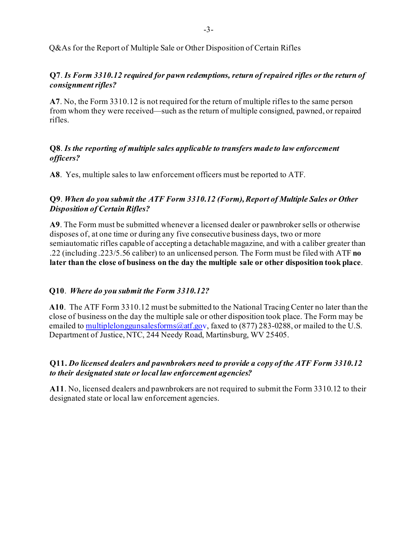# **Q7**. *Is Form 3310.12 required for pawn redemptions, return of repaired rifles or the return of consignment rifles?*

**A7**. No, the Form 3310.12 is not required for the return of multiple rifles to the same person from whom they were received—such as the return of multiple consigned, pawned, or repaired rifles.

## **Q8**. *Is the reporting of multiple sales applicable to transfers made to law enforcement officers?*

**A8**. Yes, multiple sales to law enforcement officers must be reported to ATF.

# **Q9**. *When do you submit the ATF Form 3310.12 (Form), Report of Multiple Sales or Other Disposition of Certain Rifles?*

**A9**. The Form must be submitted whenever a licensed dealer or pawnbroker sells or otherwise disposes of, at one time or during any five consecutive business days, two or more semiautomatic rifles capable of accepting a detachablemagazine, and with a caliber greater than .22 (including .223/5.56 caliber) to an unlicensed person. The Form must be filed with ATF **no later than the close of business on the day the multiple sale or other disposition took place**.

# **Q10**. *Where do you submit the Form 3310.12?*

**A10**. The ATF Form 3310.12 must be submitted to the National TracingCenter no later than the close of business on the day the multiple sale or other disposition took place. The Form may be emailed to multiplelong gunsales forms  $@atf.gov$ , faxed to (877) 283-0288, or mailed to the U.S. Department of Justice, NTC, 244 Needy Road, Martinsburg, WV 25405.

## **Q11.** *Do licensed dealers and pawnbrokers need to provide a copy of the ATF Form 3310.12 to their designated state or local law enforcement agencies?*

**A11**. No, licensed dealers and pawnbrokers are not required to submit the Form 3310.12 to their designated state or local law enforcement agencies.